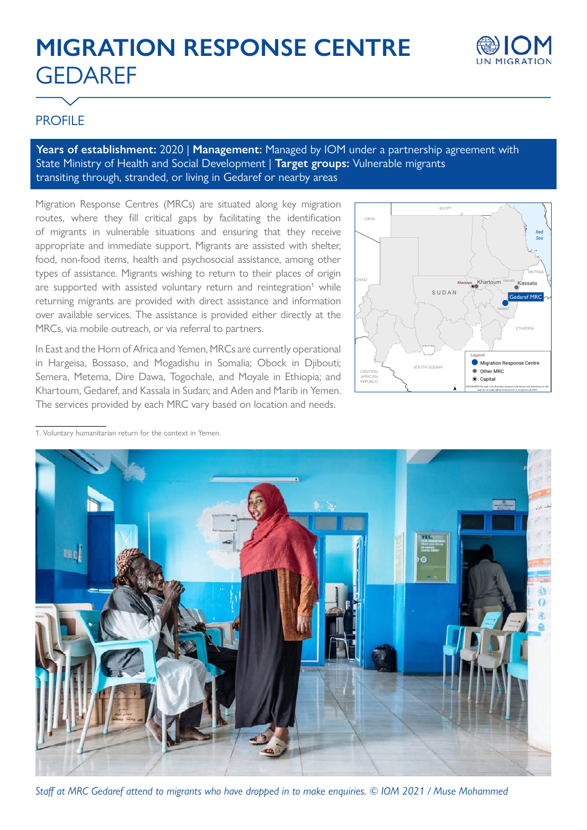# **MIGRATION RESPONSE CENTRE GEDAREF**



## PROFILE

**Years of establishment:** 2020 | **Management:** Managed by IOM under a partnership agreement with State Ministry of Health and Social Development | **Target groups:** Vulnerable migrants transiting through, stranded, or living in Gedaref or nearby areas

Migration Response Centres (MRCs) are situated along key migration routes, where they fill critical gaps by facilitating the identification of migrants in vulnerable situations and ensuring that they receive appropriate and immediate support. Migrants are assisted with shelter, food, non-food items, health and psychosocial assistance, among other types of assistance. Migrants wishing to return to their places of origin are supported with assisted voluntary return and reintegration<sup>1</sup> while returning migrants are provided with direct assistance and information over available services. The assistance is provided either directly at the MRCs, via mobile outreach, or via referral to partners.

In East and the Horn of Africa and Yemen, MRCs are currently operational in Hargeisa, Bossaso, and Mogadishu in Somalia; Obock in Djibouti; Semera, Metema, Dire Dawa, Togochale, and Moyale in Ethiopia; and Khartoum, Gedaref, and Kassala in Sudan; and Aden and Marib in Yemen. The services provided by each MRC vary based on location and needs.



1. Voluntary humanitarian return for the context in Yemen.



*Staff at MRC Gedaref attend to migrants who have dropped in to make enquiries. © IOM 2021 / Muse Mohammed*